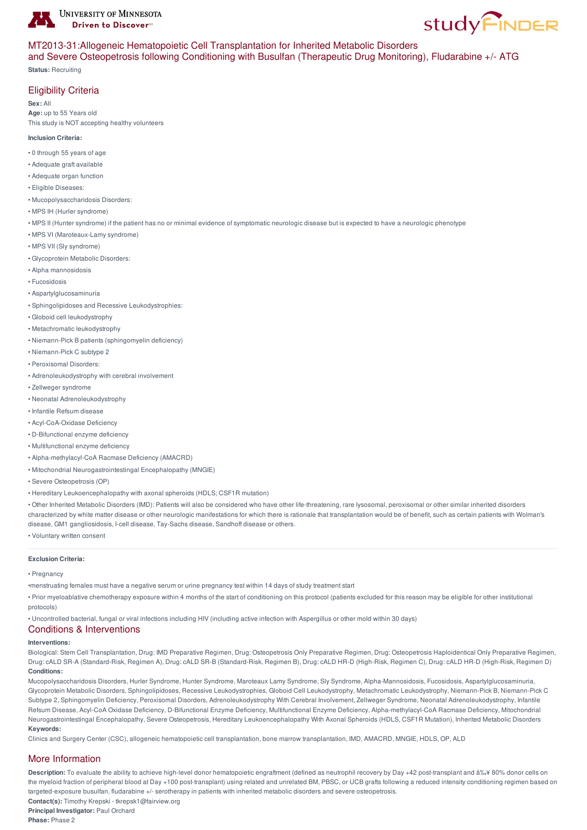

# **study FINDER**

## MT2013-31:Allogeneic Hematopoietic Cell Transplantation for Inherited Metabolic Disorders

and Severe Osteopetrosis following Conditioning with Busulfan (Therapeutic Drug Monitoring), Fludarabine +/- ATG **Status:** Recruiting

## Eligibility Criteria

**Sex:** All **Age:** up to 55 Years old This study is NOT accepting healthy volunteers

#### **Inclusion Criteria:**

- 0 through 55 years of age
- Adequate graft available
- Adequate organ function
- Eligible Diseases:
- Mucopolysaccharidosis Disorders:
- MPS IH (Hurler syndrome)
- MPS II (Hunter syndrome) if the patient has no or minimal evidence of symptomatic neurologic disease but is expected to have a neurologic phenotype
- MPS VI (Maroteaux-Lamy syndrome)
- MPS VII (Sly syndrome)
- Glycoprotein Metabolic Disorders:
- Alpha mannosidosis
- Fucosidosis
- Aspartylglucosaminuria
- Sphingolipidoses and Recessive Leukodystrophies:
- Globoid cell leukodystrophy
- Metachromatic leukodystrophy
- Niemann-Pick B patients (sphingomyelin deficiency)
- Niemann-Pick C subtype 2
- Peroxisomal Disorders:
- Adrenoleukodystrophy with cerebral involvement
- Zellweger syndrome
- Neonatal Adrenoleukodystrophy
- Infantile Refsum disease
- Acyl-CoA-Oxidase Deficiency
- D-Bifunctional enzyme deficiency
- Multifunctional enzyme deficiency
- Alpha-methylacyl-CoA Racmase Deficiency (AMACRD)
- Mitochondrial Neurogastrointestingal Encephalopathy (MNGIE)
- Severe Osteopetrosis (OP)
- Hereditary Leukoencephalopathy with axonal spheroids (HDLS; CSF1R mutation)

• Other Inherited Metabolic Disorders (IMD): Patients will also be considered who have other life-threatening, rare lysosomal, peroxisomal or other similar inherited disorders characterized by white matter disease or other neurologic manifestations for which there is rationale that transplantation would be of benefit, such as certain patients with Wolman's disease, GM1 gangliosidosis, I-cell disease, Tay-Sachs disease, Sandhoff disease or others.

• Voluntary written consent

#### **Exclusion Criteria:**

• Pregnancy

- •menstruating females must have a negative serum or urine pregnancy test within 14 days of study treatment start
- Prior myeloablative chemotherapy exposure within 4 months of the start of conditioning on this protocol (patients excluded for this reason may be eligible for other institutional protocols)

• Uncontrolled bacterial, fungal or viral infections including HIV (including active infection with Aspergillus or other mold within 30 days)

# Conditions & Interventions

#### **Interventions:**

Biological: Stem Cell Transplantation, Drug: IMD Preparative Regimen, Drug: Osteopetrosis Only Preparative Regimen, Drug: Osteopetrosis Haploidentical Only Preparative Regimen, Drug: cALD SR-A (Standard-Risk, Regimen A), Drug: cALD SR-B (Standard-Risk, Regimen B), Drug: cALD HR-D (High-Risk, Regimen C), Drug: cALD HR-D (High-Risk, Regimen D) **Conditions:**

Mucopolysaccharidosis Disorders, Hurler Syndrome, Hunter Syndrome, Maroteaux Lamy Syndrome, Sly Syndrome, Alpha-Mannosidosis, Fucosidosis, Aspartylglucosaminuria, Glycoprotein Metabolic Disorders, Sphingolipidoses, Recessive Leukodystrophies, Globoid Cell Leukodystrophy, Metachromatic Leukodystrophy, Niemann-Pick B, Niemann-Pick C Subtype 2, Sphingomyelin Deficiency, Peroxisomal Disorders, Adrenoleukodystrophy With Cerebral Involvement, Zellweger Syndrome, Neonatal Adrenoleukodystrophy, Infantile Refsum Disease, Acyl-CoA Oxidase Deficiency, D-Bifunctional Enzyme Deficiency, Multifunctional Enzyme Deficiency, Alpha-methylacyl-CoA Racmase Deficiency, Mitochondrial Neurogastrointestingal Encephalopathy, Severe Osteopetrosis, Hereditary Leukoencephalopathy With Axonal Spheroids (HDLS, CSF1R Mutation), Inherited Metabolic Disorders **Keywords:**

Clinics and Surgery Center (CSC), allogeneic hematopoietic cell transplantation, bone marrow transplantation, IMD, AMACRD, MNGIE, HDLS, OP, ALD

### More Information

Description: To evaluate the ability to achieve high-level donor hematopoietic engraftment (defined as neutrophil recovery by Day +42 post-transplant and ≥ 80% donor cells on the myeloid fraction of peripheral blood at Day +100 post-transplant) using related and unrelated BM, PBSC, or UCB grafts following a reduced intensity conditioning regimen based on targeted-exposure busulfan, fludarabine +/- serotherapy in patients with inherited metabolic disorders and severe osteopetrosis.

**Contact(s):** Timothy Krepski - tkrepsk1@fairview.org

**Principal Investigator:** Paul Orchard **Phase:** Phase 2